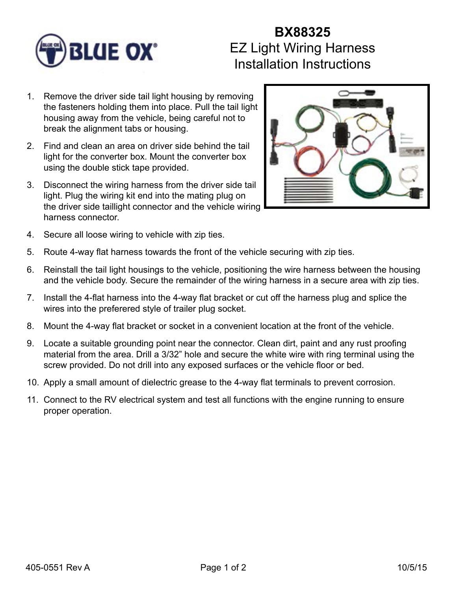

## **BX88325** EZ Light Wiring Harness Installation Instructions

- 1. Remove the driver side tail light housing by removing the fasteners holding them into place. Pull the tail light housing away from the vehicle, being careful not to break the alignment tabs or housing.
- 2. Find and clean an area on driver side behind the tail light for the converter box. Mount the converter box using the double stick tape provided.
- 3. Disconnect the wiring harness from the driver side tail light. Plug the wiring kit end into the mating plug on the driver side taillight connector and the vehicle wiring harness connector.



- 4. Secure all loose wiring to vehicle with zip ties.
- 5. Route 4-way flat harness towards the front of the vehicle securing with zip ties.
- 6. Reinstall the tail light housings to the vehicle, positioning the wire harness between the housing and the vehicle body. Secure the remainder of the wiring harness in a secure area with zip ties.
- 7. Install the 4-flat harness into the 4-way flat bracket or cut off the harness plug and splice the wires into the preferered style of trailer plug socket.
- 8. Mount the 4-way flat bracket or socket in a convenient location at the front of the vehicle.
- 9. Locate a suitable grounding point near the connector. Clean dirt, paint and any rust proofing material from the area. Drill a 3/32" hole and secure the white wire with ring terminal using the screw provided. Do not drill into any exposed surfaces or the vehicle floor or bed.
- 10. Apply a small amount of dielectric grease to the 4-way flat terminals to prevent corrosion.
- 11. Connect to the RV electrical system and test all functions with the engine running to ensure proper operation.